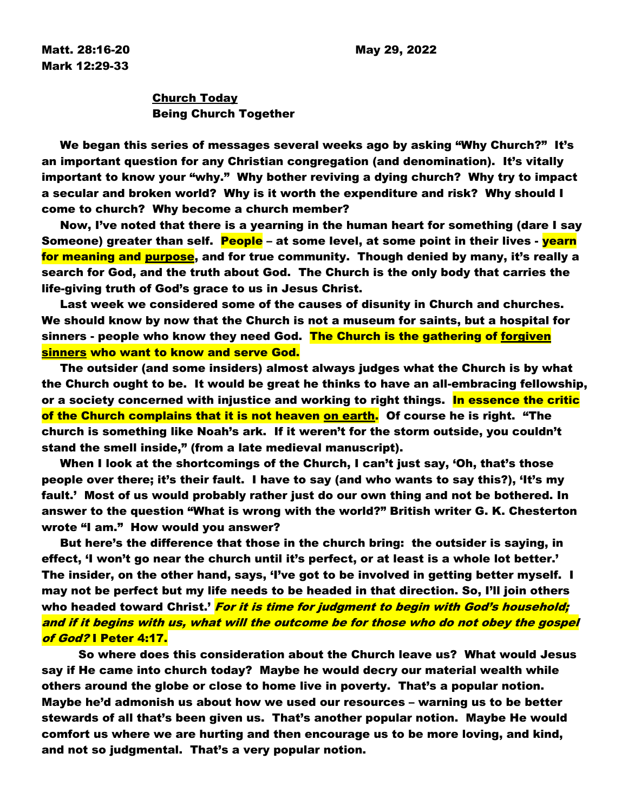Matt. 28:16-20 May 29, 2022 Mark 12:29-33

# Church Today Being Church Together

We began this series of messages several weeks ago by asking "Why Church?" It's an important question for any Christian congregation (and denomination). It's vitally important to know your "why." Why bother reviving a dying church? Why try to impact a secular and broken world? Why is it worth the expenditure and risk? Why should I come to church? Why become a church member?

Now, I've noted that there is a yearning in the human heart for something (dare I say Someone) greater than self. <mark>People</mark> – at some level, at some point in their lives - <mark>yearn</mark> for meaning and purpose, and for true community. Though denied by many, it's really a search for God, and the truth about God. The Church is the only body that carries the life-giving truth of God's grace to us in Jesus Christ.

Last week we considered some of the causes of disunity in Church and churches. We should know by now that the Church is not a museum for saints, but a hospital for sinners - people who know they need God. The Church is the gathering of forgiven sinners who want to know and serve God.

The outsider (and some insiders) almost always judges what the Church is by what the Church ought to be. It would be great he thinks to have an all-embracing fellowship, or a society concerned with injustice and working to right things. In essence the critic of the Church complains that it is not heaven on earth. Of course he is right. "The church is something like Noah's ark. If it weren't for the storm outside, you couldn't stand the smell inside," (from a late medieval manuscript).

When I look at the shortcomings of the Church, I can't just say, 'Oh, that's those people over there; it's their fault. I have to say (and who wants to say this?), 'It's my fault.' Most of us would probably rather just do our own thing and not be bothered. In answer to the question "What is wrong with the world?" British writer G. K. Chesterton wrote "I am." How would you answer?

But here's the difference that those in the church bring: the outsider is saying, in effect, 'I won't go near the church until it's perfect, or at least is a whole lot better.' The insider, on the other hand, says, 'I've got to be involved in getting better myself. I may not be perfect but my life needs to be headed in that direction. So, I'll join others who headed toward Christ.' *For it is time for judgment to begin with God's household;* and if it begins with us, what will the outcome be for those who do not obey the gospel of God? I Peter 4:17.

So where does this consideration about the Church leave us? What would Jesus say if He came into church today? Maybe he would decry our material wealth while others around the globe or close to home live in poverty. That's a popular notion. Maybe he'd admonish us about how we used our resources – warning us to be better stewards of all that's been given us. That's another popular notion. Maybe He would comfort us where we are hurting and then encourage us to be more loving, and kind, and not so judgmental. That's a very popular notion.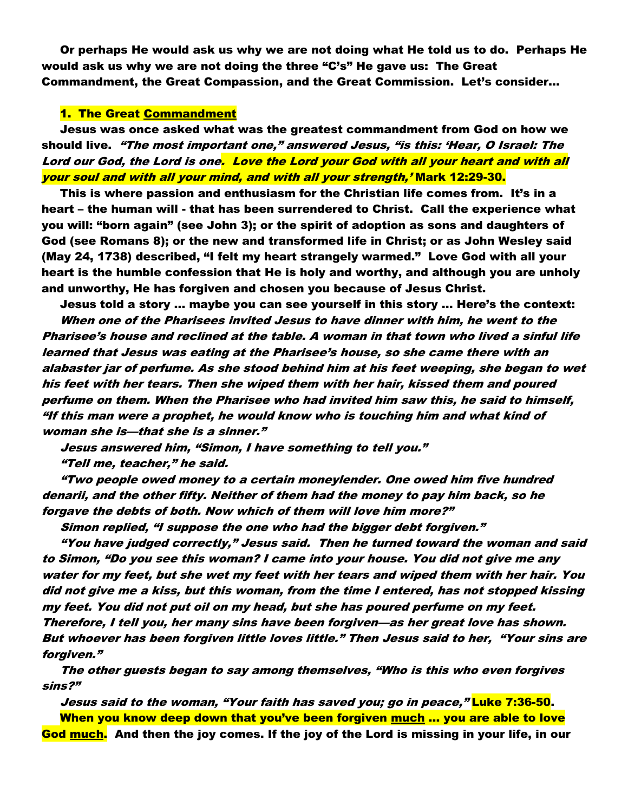Or perhaps He would ask us why we are not doing what He told us to do. Perhaps He would ask us why we are not doing the three "C's" He gave us: The Great Commandment, the Great Compassion, and the Great Commission. Let's consider…

## 1. The Great Commandment

Jesus was once asked what was the greatest commandment from God on how we should live. "The most important one," answered Jesus, "is this: 'Hear, O Israel: The Lord our God, the Lord is one<mark>. Love the Lord your God with all your heart and with all</mark> your soul and with all your mind, and with all your strength,' Mark 12:29-30.

This is where passion and enthusiasm for the Christian life comes from. It's in a heart – the human will - that has been surrendered to Christ. Call the experience what you will: "born again" (see John 3); or the spirit of adoption as sons and daughters of God (see Romans 8); or the new and transformed life in Christ; or as John Wesley said (May 24, 1738) described, "I felt my heart strangely warmed." Love God with all your heart is the humble confession that He is holy and worthy, and although you are unholy and unworthy, He has forgiven and chosen you because of Jesus Christ.

Jesus told a story … maybe you can see yourself in this story … Here's the context: When one of the Pharisees invited Jesus to have dinner with him, he went to the Pharisee's house and reclined at the table. A woman in that town who lived a sinful life learned that Jesus was eating at the Pharisee's house, so she came there with an alabaster jar of perfume. As she stood behind him at his feet weeping, she began to wet his feet with her tears. Then she wiped them with her hair, kissed them and poured perfume on them. When the Pharisee who had invited him saw this, he said to himself, "If this man were a prophet, he would know who is touching him and what kind of woman she is—that she is a sinner."

Jesus answered him, "Simon, I have something to tell you."

"Tell me, teacher," he said.

"Two people owed money to a certain moneylender. One owed him five hundred denarii, and the other fifty. Neither of them had the money to pay him back, so he forgave the debts of both. Now which of them will love him more?"

Simon replied, "I suppose the one who had the bigger debt forgiven."

"You have judged correctly," Jesus said. Then he turned toward the woman and said to Simon, "Do you see this woman? I came into your house. You did not give me any water for my feet, but she wet my feet with her tears and wiped them with her hair. You did not give me a kiss, but this woman, from the time I entered, has not stopped kissing my feet. You did not put oil on my head, but she has poured perfume on my feet. Therefore, I tell you, her many sins have been forgiven—as her great love has shown. But whoever has been forgiven little loves little." Then Jesus said to her, "Your sins are forgiven."

The other guests began to say among themselves, "Who is this who even forgives sins?"

Jesus said to the woman, "Your faith has saved you; go in peace," <mark>Luke 7:36-50</mark>. When you know deep down that you've been forgiven much … you are able to love God much. And then the joy comes. If the joy of the Lord is missing in your life, in our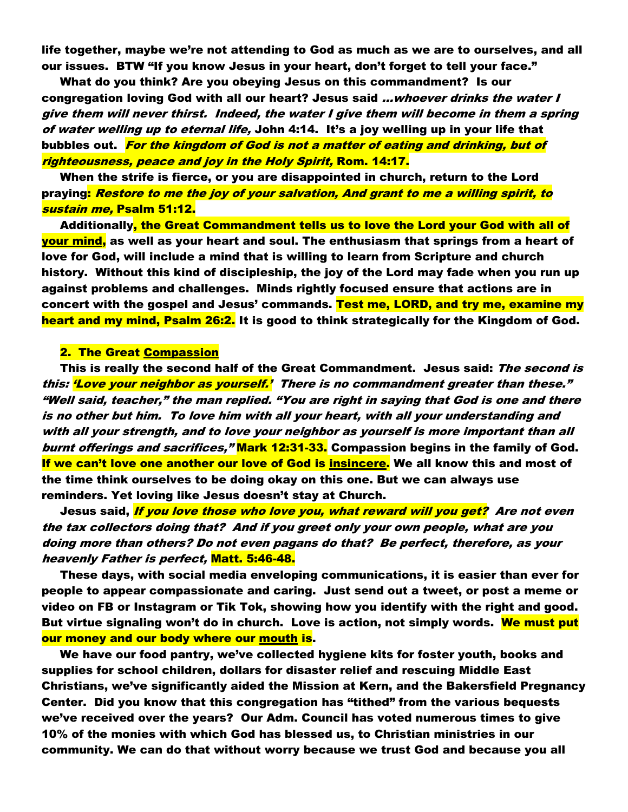life together, maybe we're not attending to God as much as we are to ourselves, and all our issues. BTW "If you know Jesus in your heart, don't forget to tell your face."

What do you think? Are you obeying Jesus on this commandment? Is our congregation loving God with all our heart? Jesus said *...whoever drinks the water I* give them will never thirst. Indeed, the water I give them will become in them a spring of water welling up to eternal life, John 4:14. It's a joy welling up in your life that bubbles out. *For the kingdom of God is not a matter of eating and drinking, but of* righteousness, peace and joy in the Holy Spirit, Rom. 14:17.

When the strife is fierce, or you are disappointed in church, return to the Lord praying: Restore to me the joy of your salvation, And grant to me a willing spirit, to sustain me, Psalm 51:12.

Additionally, the Great Commandment tells us to love the Lord your God with all of your mind, as well as your heart and soul. The enthusiasm that springs from a heart of love for God, will include a mind that is willing to learn from Scripture and church history. Without this kind of discipleship, the joy of the Lord may fade when you run up against problems and challenges. Minds rightly focused ensure that actions are in concert with the gospel and Jesus' commands. Test me, LORD, and try me, examine my heart and my mind, Psalm 26:2. It is good to think strategically for the Kingdom of God.

#### 2. The Great Compassion

This is really the second half of the Great Commandment. Jesus said: The second is this: <mark>'Love your neighbor as yourself.'</mark> There is no commandment greater than these." "Well said, teacher," the man replied. "You are right in saying that God is one and there is no other but him. To love him with all your heart, with all your understanding and with all your strength, and to love your neighbor as yourself is more important than all burnt offerings and sacrifices," Mark 12:31-33. Compassion begins in the family of God. If we can't love one another our love of God is insincere. We all know this and most of the time think ourselves to be doing okay on this one. But we can always use reminders. Yet loving like Jesus doesn't stay at Church.

Jesus said, <mark>If you love those who love you, what reward will you get?</mark> Are not even the tax collectors doing that? And if you greet only your own people, what are you doing more than others? Do not even pagans do that? Be perfect, therefore, as your heavenly Father is perfect, Matt. 5:46-48.

These days, with social media enveloping communications, it is easier than ever for people to appear compassionate and caring. Just send out a tweet, or post a meme or video on FB or Instagram or Tik Tok, showing how you identify with the right and good. But virtue signaling won't do in church. Love is action, not simply words. We must put our money and our body where our mouth is.

We have our food pantry, we've collected hygiene kits for foster youth, books and supplies for school children, dollars for disaster relief and rescuing Middle East Christians, we've significantly aided the Mission at Kern, and the Bakersfield Pregnancy Center. Did you know that this congregation has "tithed" from the various bequests we've received over the years? Our Adm. Council has voted numerous times to give 10% of the monies with which God has blessed us, to Christian ministries in our community. We can do that without worry because we trust God and because you all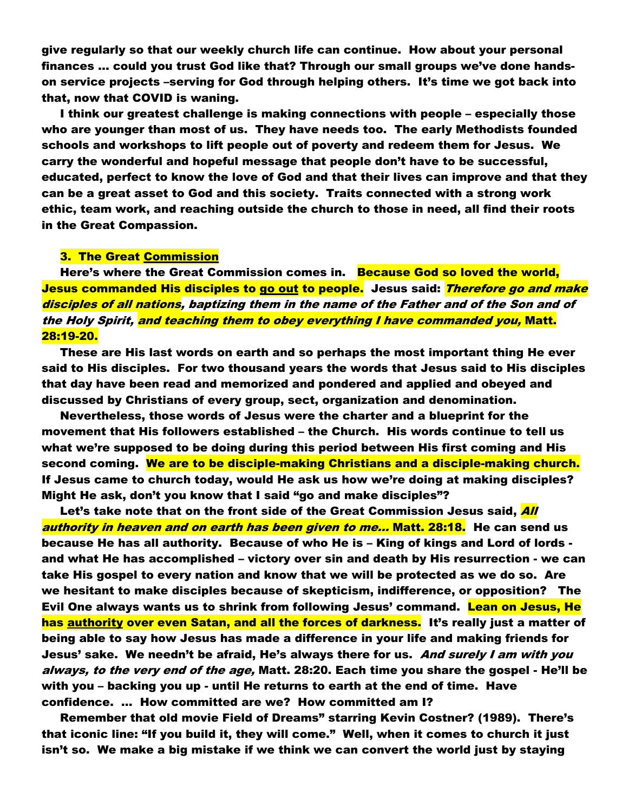give regularly so that our weekly church life can continue. How about your personal finances … could you trust God like that? Through our small groups we've done handson service projects –serving for God through helping others. It's time we got back into that, now that COVID is waning.

I think our greatest challenge is making connections with people – especially those who are younger than most of us. They have needs too. The early Methodists founded schools and workshops to lift people out of poverty and redeem them for Jesus. We carry the wonderful and hopeful message that people don't have to be successful, educated, perfect to know the love of God and that their lives can improve and that they can be a great asset to God and this society. Traits connected with a strong work ethic, team work, and reaching outside the church to those in need, all find their roots in the Great Compassion.

### 3. The Great Commission

Here's where the Great Commission comes in. Because God so loved the world, Jesus commanded His disciples to go out to people. Jesus said: *Therefore go and make* disciples of all nations, baptizing them in the name of the Father and of the Son and of the Holy Spirit, and teaching them to obey everything I have commanded you, Matt. 28:19-20.

These are His last words on earth and so perhaps the most important thing He ever said to His disciples. For two thousand years the words that Jesus said to His disciples that day have been read and memorized and pondered and applied and obeyed and discussed by Christians of every group, sect, organization and denomination.

Nevertheless, those words of Jesus were the charter and a blueprint for the movement that His followers established – the Church. His words continue to tell us what we're supposed to be doing during this period between His first coming and His second coming. We are to be disciple-making Christians and a disciple-making church. If Jesus came to church today, would He ask us how we're doing at making disciples? Might He ask, don't you know that I said "go and make disciples"?

Let's take note that on the front side of the Great Commission Jesus said, <mark>All</mark> authority in heaven and on earth has been given to me... Matt. 28:18. He can send us because He has all authority. Because of who He is – King of kings and Lord of lords and what He has accomplished – victory over sin and death by His resurrection - we can take His gospel to every nation and know that we will be protected as we do so. Are we hesitant to make disciples because of skepticism, indifference, or opposition? The Evil One always wants us to shrink from following Jesus' command. Lean on Jesus, He has authority over even Satan, and all the forces of darkness. It's really just a matter of being able to say how Jesus has made a difference in your life and making friends for Jesus' sake. We needn't be afraid, He's always there for us. *And surely I am with you* always, to the very end of the age, Matt. 28:20. Each time you share the gospel - He'll be with you – backing you up - until He returns to earth at the end of time. Have confidence. … How committed are we? How committed am I?

Remember that old movie Field of Dreams" starring Kevin Costner? (1989). There's that iconic line: "If you build it, they will come." Well, when it comes to church it just isn't so. We make a big mistake if we think we can convert the world just by staying